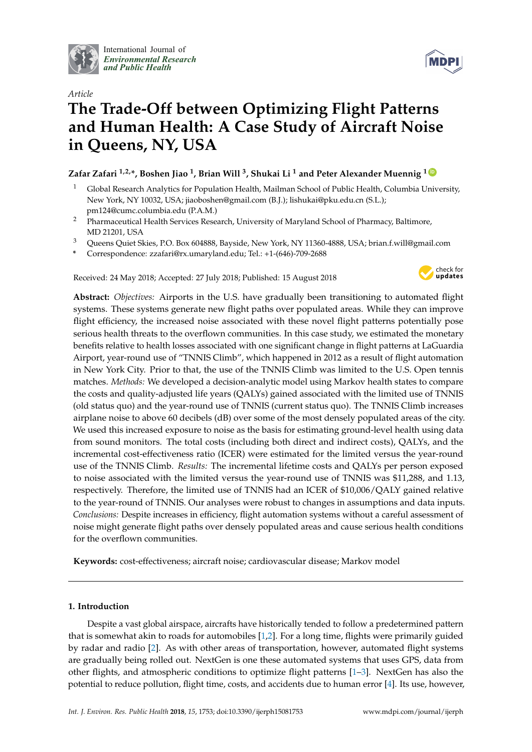

International Journal of *[Environmental Research](http://www.mdpi.com/journal/ijerph) and Public Health*



# *Article* **The Trade-Off between Optimizing Flight Patterns and Human Health: A Case Study of Aircraft Noise in Queens, NY, USA**

# $\bf{Z}$ afar Zafari  $^{1,2,*}$ , Boshen Jiao  $^1$ , Brian Will  $^3$ , Shukai Li  $^1$  and Peter Alexander Muennig  $^{1\,\textcolor{red}{\rm D}}$

- <sup>1</sup> Global Research Analytics for Population Health, Mailman School of Public Health, Columbia University, New York, NY 10032, USA; jiaoboshen@gmail.com (B.J.); lishukai@pku.edu.cn (S.L.); pm124@cumc.columbia.edu (P.A.M.)
- <sup>2</sup> Pharmaceutical Health Services Research, University of Maryland School of Pharmacy, Baltimore, MD 21201, USA
- <sup>3</sup> Queens Quiet Skies, P.O. Box 604888, Bayside, New York, NY 11360-4888, USA; brian.f.will@gmail.com
- **\*** Correspondence: zzafari@rx.umaryland.edu; Tel.: +1-(646)-709-2688

Received: 24 May 2018; Accepted: 27 July 2018; Published: 15 August 2018



**Abstract:** *Objectives:* Airports in the U.S. have gradually been transitioning to automated flight systems. These systems generate new flight paths over populated areas. While they can improve flight efficiency, the increased noise associated with these novel flight patterns potentially pose serious health threats to the overflown communities. In this case study, we estimated the monetary benefits relative to health losses associated with one significant change in flight patterns at LaGuardia Airport, year-round use of "TNNIS Climb", which happened in 2012 as a result of flight automation in New York City. Prior to that, the use of the TNNIS Climb was limited to the U.S. Open tennis matches. *Methods:* We developed a decision-analytic model using Markov health states to compare the costs and quality-adjusted life years (QALYs) gained associated with the limited use of TNNIS (old status quo) and the year-round use of TNNIS (current status quo). The TNNIS Climb increases airplane noise to above 60 decibels (dB) over some of the most densely populated areas of the city. We used this increased exposure to noise as the basis for estimating ground-level health using data from sound monitors. The total costs (including both direct and indirect costs), QALYs, and the incremental cost-effectiveness ratio (ICER) were estimated for the limited versus the year-round use of the TNNIS Climb. *Results:* The incremental lifetime costs and QALYs per person exposed to noise associated with the limited versus the year-round use of TNNIS was \$11,288, and 1.13, respectively. Therefore, the limited use of TNNIS had an ICER of \$10,006/QALY gained relative to the year-round of TNNIS. Our analyses were robust to changes in assumptions and data inputs. *Conclusions:* Despite increases in efficiency, flight automation systems without a careful assessment of noise might generate flight paths over densely populated areas and cause serious health conditions for the overflown communities.

**Keywords:** cost-effectiveness; aircraft noise; cardiovascular disease; Markov model

# **1. Introduction**

Despite a vast global airspace, aircrafts have historically tended to follow a predetermined pattern that is somewhat akin to roads for automobiles [\[1](#page-10-0)[,2\]](#page-10-1). For a long time, flights were primarily guided by radar and radio [\[2\]](#page-10-1). As with other areas of transportation, however, automated flight systems are gradually being rolled out. NextGen is one these automated systems that uses GPS, data from other flights, and atmospheric conditions to optimize flight patterns [\[1](#page-10-0)[–3\]](#page-10-2). NextGen has also the potential to reduce pollution, flight time, costs, and accidents due to human error [\[4\]](#page-10-3). Its use, however,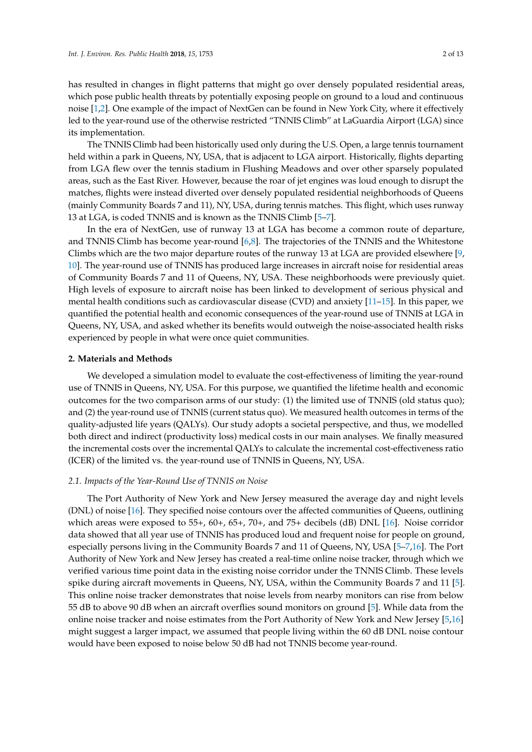has resulted in changes in flight patterns that might go over densely populated residential areas, which pose public health threats by potentially exposing people on ground to a loud and continuous noise [\[1](#page-10-0)[,2\]](#page-10-1). One example of the impact of NextGen can be found in New York City, where it effectively led to the year-round use of the otherwise restricted "TNNIS Climb" at LaGuardia Airport (LGA) since its implementation.

The TNNIS Climb had been historically used only during the U.S. Open, a large tennis tournament held within a park in Queens, NY, USA, that is adjacent to LGA airport. Historically, flights departing from LGA flew over the tennis stadium in Flushing Meadows and over other sparsely populated areas, such as the East River. However, because the roar of jet engines was loud enough to disrupt the matches, flights were instead diverted over densely populated residential neighborhoods of Queens (mainly Community Boards 7 and 11), NY, USA, during tennis matches. This flight, which uses runway 13 at LGA, is coded TNNIS and is known as the TNNIS Climb [\[5](#page-10-4)[–7\]](#page-10-5).

In the era of NextGen, use of runway 13 at LGA has become a common route of departure, and TNNIS Climb has become year-round [\[6](#page-10-6)[,8\]](#page-10-7). The trajectories of the TNNIS and the Whitestone Climbs which are the two major departure routes of the runway 13 at LGA are provided elsewhere [\[9,](#page-10-8) [10\]](#page-10-9). The year-round use of TNNIS has produced large increases in aircraft noise for residential areas of Community Boards 7 and 11 of Queens, NY, USA. These neighborhoods were previously quiet. High levels of exposure to aircraft noise has been linked to development of serious physical and mental health conditions such as cardiovascular disease (CVD) and anxiety [\[11–](#page-10-10)[15\]](#page-10-11). In this paper, we quantified the potential health and economic consequences of the year-round use of TNNIS at LGA in Queens, NY, USA, and asked whether its benefits would outweigh the noise-associated health risks experienced by people in what were once quiet communities.

#### **2. Materials and Methods**

We developed a simulation model to evaluate the cost-effectiveness of limiting the year-round use of TNNIS in Queens, NY, USA. For this purpose, we quantified the lifetime health and economic outcomes for the two comparison arms of our study: (1) the limited use of TNNIS (old status quo); and (2) the year-round use of TNNIS (current status quo). We measured health outcomes in terms of the quality-adjusted life years (QALYs). Our study adopts a societal perspective, and thus, we modelled both direct and indirect (productivity loss) medical costs in our main analyses. We finally measured the incremental costs over the incremental QALYs to calculate the incremental cost-effectiveness ratio (ICER) of the limited vs. the year-round use of TNNIS in Queens, NY, USA.

#### *2.1. Impacts of the Year-Round Use of TNNIS on Noise*

The Port Authority of New York and New Jersey measured the average day and night levels (DNL) of noise [\[16\]](#page-10-12). They specified noise contours over the affected communities of Queens, outlining which areas were exposed to 55+, 60+, 65+, 70+, and 75+ decibels (dB) DNL [\[16\]](#page-10-12). Noise corridor data showed that all year use of TNNIS has produced loud and frequent noise for people on ground, especially persons living in the Community Boards 7 and 11 of Queens, NY, USA [\[5–](#page-10-4)[7](#page-10-5)[,16\]](#page-10-12). The Port Authority of New York and New Jersey has created a real-time online noise tracker, through which we verified various time point data in the existing noise corridor under the TNNIS Climb. These levels spike during aircraft movements in Queens, NY, USA, within the Community Boards 7 and 11 [\[5\]](#page-10-4). This online noise tracker demonstrates that noise levels from nearby monitors can rise from below 55 dB to above 90 dB when an aircraft overflies sound monitors on ground [\[5\]](#page-10-4). While data from the online noise tracker and noise estimates from the Port Authority of New York and New Jersey [\[5](#page-10-4)[,16\]](#page-10-12) might suggest a larger impact, we assumed that people living within the 60 dB DNL noise contour would have been exposed to noise below 50 dB had not TNNIS become year-round.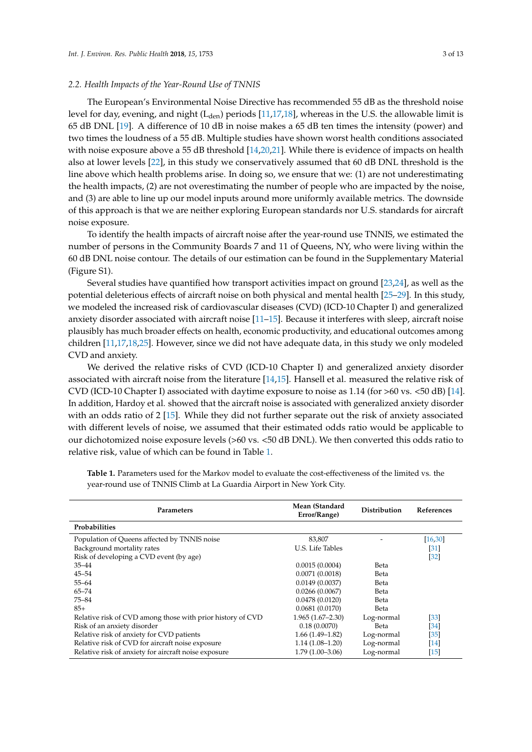#### *2.2. Health Impacts of the Year-Round Use of TNNIS*

The European's Environmental Noise Directive has recommended 55 dB as the threshold noise level for day, evening, and night  $(L<sub>den</sub>)$  periods [\[11,](#page-10-10)[17,](#page-10-13)[18\]](#page-10-14), whereas in the U.S. the allowable limit is 65 dB DNL [\[19\]](#page-10-15). A difference of 10 dB in noise makes a 65 dB ten times the intensity (power) and two times the loudness of a 55 dB. Multiple studies have shown worst health conditions associated with noise exposure above a 55 dB threshold [\[14](#page-10-16)[,20](#page-10-17)[,21\]](#page-10-18). While there is evidence of impacts on health also at lower levels [\[22\]](#page-11-0), in this study we conservatively assumed that 60 dB DNL threshold is the line above which health problems arise. In doing so, we ensure that we: (1) are not underestimating the health impacts, (2) are not overestimating the number of people who are impacted by the noise, and (3) are able to line up our model inputs around more uniformly available metrics. The downside of this approach is that we are neither exploring European standards nor U.S. standards for aircraft noise exposure.

To identify the health impacts of aircraft noise after the year-round use TNNIS, we estimated the number of persons in the Community Boards 7 and 11 of Queens, NY, who were living within the 60 dB DNL noise contour. The details of our estimation can be found in the Supplementary Material (Figure S1).

Several studies have quantified how transport activities impact on ground [\[23](#page-11-1)[,24\]](#page-11-2), as well as the potential deleterious effects of aircraft noise on both physical and mental health [\[25–](#page-11-3)[29\]](#page-11-4). In this study, we modeled the increased risk of cardiovascular diseases (CVD) (ICD-10 Chapter I) and generalized anxiety disorder associated with aircraft noise [\[11–](#page-10-10)[15\]](#page-10-11). Because it interferes with sleep, aircraft noise plausibly has much broader effects on health, economic productivity, and educational outcomes among children [\[11,](#page-10-10)[17,](#page-10-13)[18](#page-10-14)[,25\]](#page-11-3). However, since we did not have adequate data, in this study we only modeled CVD and anxiety.

We derived the relative risks of CVD (ICD-10 Chapter I) and generalized anxiety disorder associated with aircraft noise from the literature [\[14](#page-10-16)[,15\]](#page-10-11). Hansell et al. measured the relative risk of CVD (ICD-10 Chapter I) associated with daytime exposure to noise as 1.14 (for >60 vs. <50 dB) [\[14\]](#page-10-16). In addition, Hardoy et al. showed that the aircraft noise is associated with generalized anxiety disorder with an odds ratio of 2 [\[15\]](#page-10-11). While they did not further separate out the risk of anxiety associated with different levels of noise, we assumed that their estimated odds ratio would be applicable to our dichotomized noise exposure levels (>60 vs. <50 dB DNL). We then converted this odds ratio to relative risk, value of which can be found in Table [1.](#page-3-0)

| <b>Parameters</b>                                          | Mean (Standard<br>Error/Range) | <b>Distribution</b> | <b>References</b> |
|------------------------------------------------------------|--------------------------------|---------------------|-------------------|
| <b>Probabilities</b>                                       |                                |                     |                   |
| Population of Queens affected by TNNIS noise               | 83,807                         |                     | [16, 30]          |
| Background mortality rates                                 | <b>U.S. Life Tables</b>        |                     | $\left[31\right]$ |
| Risk of developing a CVD event (by age)                    |                                |                     | $[32]$            |
| $35 - 44$                                                  | 0.0015(0.0004)                 | Beta                |                   |
| $45 - 54$                                                  | 0.0071(0.0018)                 | Beta                |                   |
| $55 - 64$                                                  | 0.0149(0.0037)                 | Beta                |                   |
| $65 - 74$                                                  | 0.0266(0.0067)                 | Beta                |                   |
| $75 - 84$                                                  | 0.0478(0.0120)                 | Beta                |                   |
| $85+$                                                      | 0.0681(0.0170)                 | Beta                |                   |
| Relative risk of CVD among those with prior history of CVD | $1.965(1.67-2.30)$             | Log-normal          | $\left[33\right]$ |
| Risk of an anxiety disorder                                | 0.18(0.0070)                   | Beta                | [34]              |
| Relative risk of anxiety for CVD patients                  | $1.66(1.49-1.82)$              | Log-normal          | [35]              |
| Relative risk of CVD for aircraft noise exposure           | $1.14(1.08-1.20)$              | Log-normal          | [14]              |
| Relative risk of anxiety for aircraft noise exposure       | $1.79(1.00-3.06)$              | Log-normal          | $[15]$            |

**Table 1.** Parameters used for the Markov model to evaluate the cost-effectiveness of the limited vs. the year-round use of TNNIS Climb at La Guardia Airport in New York City.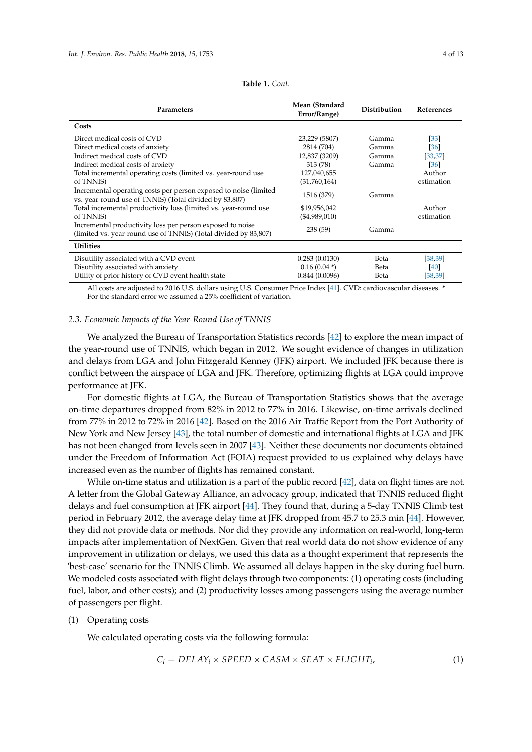<span id="page-3-0"></span>

| <b>Parameters</b>                                                                                                            | Mean (Standard<br>Error/Range) | <b>Distribution</b> | <b>References</b> |
|------------------------------------------------------------------------------------------------------------------------------|--------------------------------|---------------------|-------------------|
| Costs                                                                                                                        |                                |                     |                   |
| Direct medical costs of CVD                                                                                                  | 23,229 (5807)                  | Gamma               | [33]              |
| Direct medical costs of anxiety                                                                                              | 2814 (704)                     | Gamma               | $\left[36\right]$ |
| Indirect medical costs of CVD                                                                                                | 12,837 (3209)                  | Gamma               | [33, 37]          |
| Indirect medical costs of anxiety                                                                                            | 313 (78)                       | Gamma               | [36]              |
| Total incremental operating costs (limited vs. year-round use                                                                | 127,040,655                    |                     | Author            |
| of TNNIS)                                                                                                                    | (31,760,164)                   |                     | estimation        |
| Incremental operating costs per person exposed to noise (limited<br>vs. year-round use of TNNIS) (Total divided by 83,807)   | 1516 (379)                     | Gamma               |                   |
| Total incremental productivity loss (limited vs. year-round use                                                              | \$19,956,042                   |                     | Author            |
| of TNNIS)                                                                                                                    | (\$4,989,010)                  |                     | estimation        |
| Incremental productivity loss per person exposed to noise<br>(limited vs. year-round use of TNNIS) (Total divided by 83,807) | 238 (59)                       | Gamma               |                   |
| <b>Utilities</b>                                                                                                             |                                |                     |                   |
| Disutility associated with a CVD event                                                                                       | 0.283(0.0130)                  | Beta                | [38, 39]          |
| Disutility associated with anxiety                                                                                           | $0.16(0.04*)$                  | Beta                | [40]              |
| Utility of prior history of CVD event health state                                                                           | 0.844(0.0096)                  | Beta                | [38, 39]          |

**Table 1.** *Cont.*

All costs are adjusted to 2016 U.S. dollars using U.S. Consumer Price Index [\[41\]](#page-11-16). CVD: cardiovascular diseases. \* For the standard error we assumed a 25% coefficient of variation.

#### *2.3. Economic Impacts of the Year-Round Use of TNNIS*

We analyzed the Bureau of Transportation Statistics records [\[42\]](#page-12-0) to explore the mean impact of the year-round use of TNNIS, which began in 2012. We sought evidence of changes in utilization and delays from LGA and John Fitzgerald Kenney (JFK) airport. We included JFK because there is conflict between the airspace of LGA and JFK. Therefore, optimizing flights at LGA could improve performance at JFK.

For domestic flights at LGA, the Bureau of Transportation Statistics shows that the average on-time departures dropped from 82% in 2012 to 77% in 2016. Likewise, on-time arrivals declined from 77% in 2012 to 72% in 2016 [\[42\]](#page-12-0). Based on the 2016 Air Traffic Report from the Port Authority of New York and New Jersey [\[43\]](#page-12-1), the total number of domestic and international flights at LGA and JFK has not been changed from levels seen in 2007 [\[43\]](#page-12-1). Neither these documents nor documents obtained under the Freedom of Information Act (FOIA) request provided to us explained why delays have increased even as the number of flights has remained constant.

While on-time status and utilization is a part of the public record [\[42\]](#page-12-0), data on flight times are not. A letter from the Global Gateway Alliance, an advocacy group, indicated that TNNIS reduced flight delays and fuel consumption at JFK airport [\[44\]](#page-12-2). They found that, during a 5-day TNNIS Climb test period in February 2012, the average delay time at JFK dropped from 45.7 to 25.3 min [\[44\]](#page-12-2). However, they did not provide data or methods. Nor did they provide any information on real-world, long-term impacts after implementation of NextGen. Given that real world data do not show evidence of any improvement in utilization or delays, we used this data as a thought experiment that represents the 'best-case' scenario for the TNNIS Climb. We assumed all delays happen in the sky during fuel burn. We modeled costs associated with flight delays through two components: (1) operating costs (including fuel, labor, and other costs); and (2) productivity losses among passengers using the average number of passengers per flight.

### (1) Operating costs

We calculated operating costs via the following formula:

$$
C_i = DELAY_i \times SPEED \times CASM \times SEAT \times FLIGHT_i,\tag{1}
$$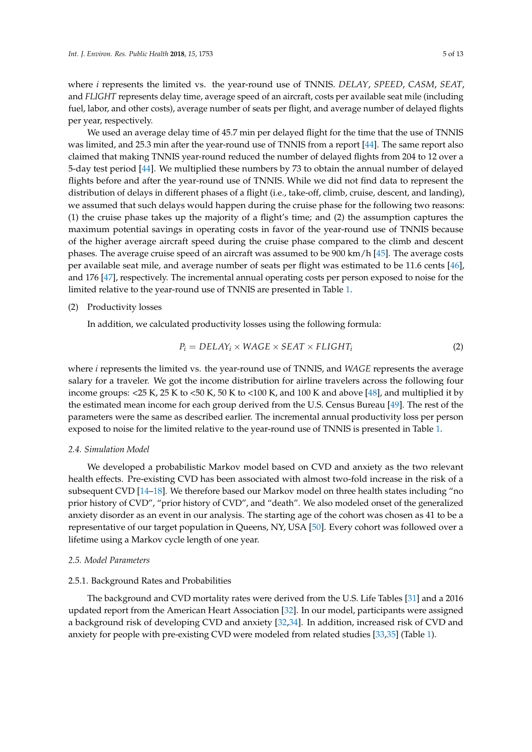where *i* represents the limited vs. the year-round use of TNNIS. *DELAY*, *SPEED*, *CASM*, *SEAT*, and *FLIGHT* represents delay time, average speed of an aircraft, costs per available seat mile (including fuel, labor, and other costs), average number of seats per flight, and average number of delayed flights per year, respectively.

We used an average delay time of 45.7 min per delayed flight for the time that the use of TNNIS was limited, and 25.3 min after the year-round use of TNNIS from a report [\[44\]](#page-12-2). The same report also claimed that making TNNIS year-round reduced the number of delayed flights from 204 to 12 over a 5-day test period [\[44\]](#page-12-2). We multiplied these numbers by 73 to obtain the annual number of delayed flights before and after the year-round use of TNNIS. While we did not find data to represent the distribution of delays in different phases of a flight (i.e., take-off, climb, cruise, descent, and landing), we assumed that such delays would happen during the cruise phase for the following two reasons: (1) the cruise phase takes up the majority of a flight's time; and (2) the assumption captures the maximum potential savings in operating costs in favor of the year-round use of TNNIS because of the higher average aircraft speed during the cruise phase compared to the climb and descent phases. The average cruise speed of an aircraft was assumed to be 900 km/h [\[45\]](#page-12-3). The average costs per available seat mile, and average number of seats per flight was estimated to be 11.6 cents [\[46\]](#page-12-4), and 176 [\[47\]](#page-12-5), respectively. The incremental annual operating costs per person exposed to noise for the limited relative to the year-round use of TNNIS are presented in Table [1.](#page-3-0)

#### (2) Productivity losses

In addition, we calculated productivity losses using the following formula:

$$
P_i = DELAY_i \times WAGE \times SEAT \times FLIGHT_i \tag{2}
$$

where *i* represents the limited vs. the year-round use of TNNIS, and *WAGE* represents the average salary for a traveler. We got the income distribution for airline travelers across the following four income groups:  $\langle 25 \text{ K}, 25 \text{ K} \rangle$  to  $\langle 50 \text{ K}, 50 \text{ K} \rangle$  to  $\langle 100 \text{ K} \rangle$  and  $\langle 100 \text{ K} \rangle$  and above [\[48\]](#page-12-6), and multiplied it by the estimated mean income for each group derived from the U.S. Census Bureau [\[49\]](#page-12-7). The rest of the parameters were the same as described earlier. The incremental annual productivity loss per person exposed to noise for the limited relative to the year-round use of TNNIS is presented in Table [1.](#page-3-0)

#### *2.4. Simulation Model*

We developed a probabilistic Markov model based on CVD and anxiety as the two relevant health effects. Pre-existing CVD has been associated with almost two-fold increase in the risk of a subsequent CVD [\[14–](#page-10-16)[18\]](#page-10-14). We therefore based our Markov model on three health states including "no prior history of CVD", "prior history of CVD", and "death". We also modeled onset of the generalized anxiety disorder as an event in our analysis. The starting age of the cohort was chosen as 41 to be a representative of our target population in Queens, NY, USA [\[50\]](#page-12-8). Every cohort was followed over a lifetime using a Markov cycle length of one year.

#### *2.5. Model Parameters*

#### 2.5.1. Background Rates and Probabilities

The background and CVD mortality rates were derived from the U.S. Life Tables [\[31\]](#page-11-6) and a 2016 updated report from the American Heart Association [\[32\]](#page-11-7). In our model, participants were assigned a background risk of developing CVD and anxiety [\[32,](#page-11-7)[34\]](#page-11-9). In addition, increased risk of CVD and anxiety for people with pre-existing CVD were modeled from related studies [\[33](#page-11-8)[,35\]](#page-11-10) (Table [1\)](#page-3-0).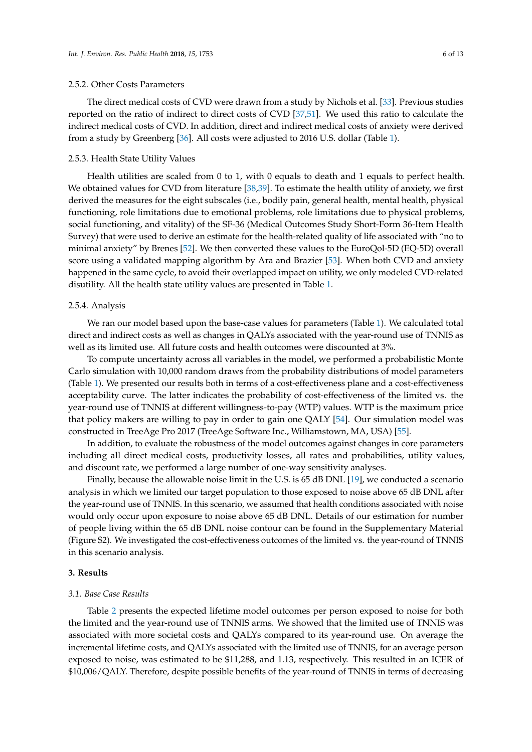#### 2.5.2. Other Costs Parameters

The direct medical costs of CVD were drawn from a study by Nichols et al. [\[33\]](#page-11-8). Previous studies reported on the ratio of indirect to direct costs of CVD [\[37,](#page-11-12)[51\]](#page-12-9). We used this ratio to calculate the indirect medical costs of CVD. In addition, direct and indirect medical costs of anxiety were derived from a study by Greenberg [\[36\]](#page-11-11). All costs were adjusted to 2016 U.S. dollar (Table [1\)](#page-3-0).

#### 2.5.3. Health State Utility Values

Health utilities are scaled from 0 to 1, with 0 equals to death and 1 equals to perfect health. We obtained values for CVD from literature [\[38](#page-11-13)[,39\]](#page-11-14). To estimate the health utility of anxiety, we first derived the measures for the eight subscales (i.e., bodily pain, general health, mental health, physical functioning, role limitations due to emotional problems, role limitations due to physical problems, social functioning, and vitality) of the SF-36 (Medical Outcomes Study Short-Form 36-Item Health Survey) that were used to derive an estimate for the health-related quality of life associated with "no to minimal anxiety" by Brenes [\[52\]](#page-12-10). We then converted these values to the EuroQol-5D (EQ-5D) overall score using a validated mapping algorithm by Ara and Brazier [\[53\]](#page-12-11). When both CVD and anxiety happened in the same cycle, to avoid their overlapped impact on utility, we only modeled CVD-related disutility. All the health state utility values are presented in Table [1.](#page-3-0)

#### 2.5.4. Analysis

We ran our model based upon the base-case values for parameters (Table [1\)](#page-3-0). We calculated total direct and indirect costs as well as changes in QALYs associated with the year-round use of TNNIS as well as its limited use. All future costs and health outcomes were discounted at 3%.

To compute uncertainty across all variables in the model, we performed a probabilistic Monte Carlo simulation with 10,000 random draws from the probability distributions of model parameters (Table [1\)](#page-3-0). We presented our results both in terms of a cost-effectiveness plane and a cost-effectiveness acceptability curve. The latter indicates the probability of cost-effectiveness of the limited vs. the year-round use of TNNIS at different willingness-to-pay (WTP) values. WTP is the maximum price that policy makers are willing to pay in order to gain one QALY [\[54\]](#page-12-12). Our simulation model was constructed in TreeAge Pro 2017 (TreeAge Software Inc., Williamstown, MA, USA) [\[55\]](#page-12-13).

In addition, to evaluate the robustness of the model outcomes against changes in core parameters including all direct medical costs, productivity losses, all rates and probabilities, utility values, and discount rate, we performed a large number of one-way sensitivity analyses.

Finally, because the allowable noise limit in the U.S. is 65 dB DNL [\[19\]](#page-10-15), we conducted a scenario analysis in which we limited our target population to those exposed to noise above 65 dB DNL after the year-round use of TNNIS. In this scenario, we assumed that health conditions associated with noise would only occur upon exposure to noise above 65 dB DNL. Details of our estimation for number of people living within the 65 dB DNL noise contour can be found in the Supplementary Material (Figure S2). We investigated the cost-effectiveness outcomes of the limited vs. the year-round of TNNIS in this scenario analysis.

#### **3. Results**

#### *3.1. Base Case Results*

Table [2](#page-6-0) presents the expected lifetime model outcomes per person exposed to noise for both the limited and the year-round use of TNNIS arms. We showed that the limited use of TNNIS was associated with more societal costs and QALYs compared to its year-round use. On average the incremental lifetime costs, and QALYs associated with the limited use of TNNIS, for an average person exposed to noise, was estimated to be \$11,288, and 1.13, respectively. This resulted in an ICER of \$10,006/QALY. Therefore, despite possible benefits of the year-round of TNNIS in terms of decreasing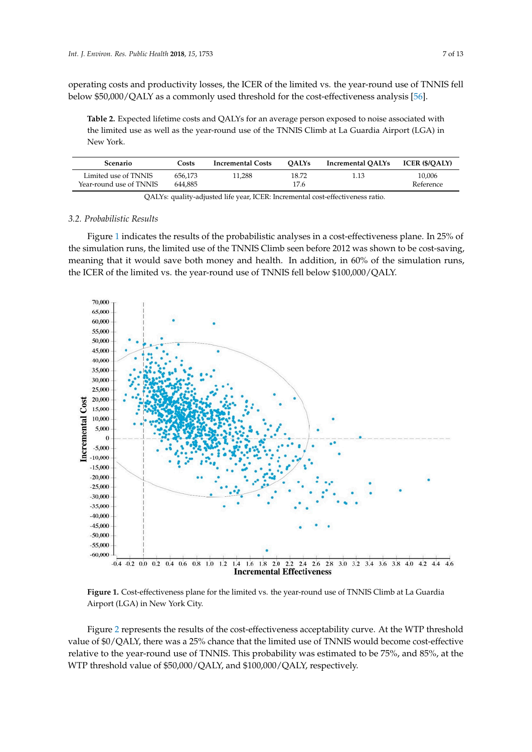operating costs and productivity losses, the ICER of the limited vs. the year-round use of TNNIS fell below \$50,000/QALY as a commonly used threshold for the cost-effectiveness analysis [\[56\]](#page-12-14).

<span id="page-6-0"></span>**Table 2.** Expected lifetime costs and QALYs for an average person exposed to noise associated with the limited use as well as the year-round use of the TNNIS Climb at La Guardia Airport (LGA) in New York.

| <b>Scenario</b>                                 | Costs              | <b>Incremental Costs</b>      | <b>OALYs</b>  | <b>Incremental OALYs</b> | ICER (\$/OALY)      |
|-------------------------------------------------|--------------------|-------------------------------|---------------|--------------------------|---------------------|
| Limited use of TNNIS<br>Year-round use of TNNIS | 656.173<br>644.885 | 11.288                        | 18.72<br>17.6 | l.13                     | 10,006<br>Reference |
| -----                                           |                    | $\mathbf{r}$ and $\mathbf{r}$ |               |                          |                     |

QALYs: quality-adjusted life year, ICER: Incremental cost-effectiveness ratio.

#### *3.2. Probabilistic Results*

Figure [1](#page-6-1) indicates the results of the probabilistic analyses in a cost-effectiveness plane. In 25% of the simulation runs, the limited use of the TNNIS Climb seen before 2012 was shown to be cost-saving, meaning that it would save both money and health. In addition, in 60% of the simulation runs, the ICER of the limited vs. the year-round use of TNNIS fell below \$100,000/QALY.

<span id="page-6-1"></span>

**Figure 1.** Cost-effectiveness plane for the limited vs. the year-round use of TNNIS Climb at La Guardia Airport (LGA) in New York City.

Figure [2](#page-7-0) represents the results of the cost-effectiveness acceptability curve. At the WTP threshold value of \$0/QALY, there was a 25% chance that the limited use of TNNIS would become cost-effective relative to the year-round use of TNNIS. This probability was estimated to be 75%, and 85%, at the WTP threshold value of \$50,000/QALY, and \$100,000/QALY, respectively.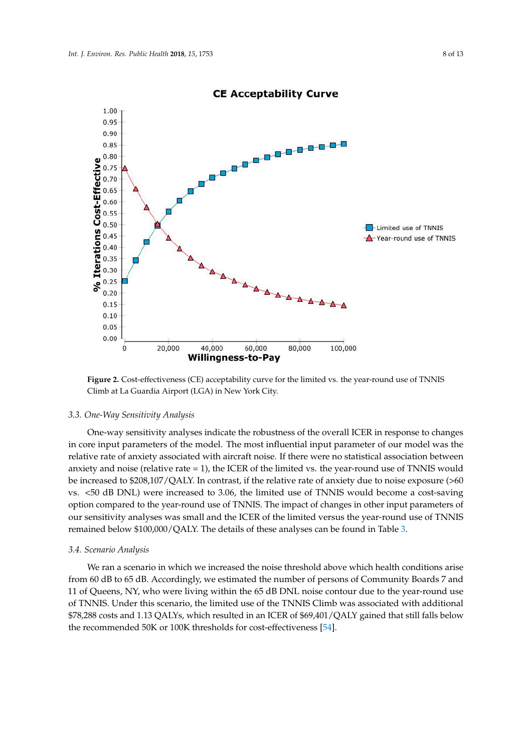<span id="page-7-0"></span>

**Figure 2.** Cost-effectiveness (CE) acceptability curve for the limited vs. the year-round use of TNNIS Climb at La Guardia Airport (LGA) in New York City.

#### *3.3. One-Way Sensitivity Analysis*

One-way sensitivity analyses indicate the robustness of the overall ICER in response to changes in core input parameters of the model. The most influential input parameter of our model was the relative rate of anxiety associated with aircraft noise. If there were no statistical association between anxiety and noise (relative rate  $= 1$ ), the ICER of the limited vs. the year-round use of TNNIS would be increased to \$208,107/QALY. In contrast, if the relative rate of anxiety due to noise exposure (>60 vs. <50 dB DNL) were increased to 3.06, the limited use of TNNIS would become a cost-saving option compared to the year-round use of TNNIS. The impact of changes in other input parameters of our sensitivity analyses was small and the ICER of the limited versus the year-round use of TNNIS remained below \$100,000/QALY. The details of these analyses can be found in Table [3.](#page-8-0)

#### *3.4. Scenario Analysis*

We ran a scenario in which we increased the noise threshold above which health conditions arise from 60 dB to 65 dB. Accordingly, we estimated the number of persons of Community Boards 7 and 11 of Queens, NY, who were living within the 65 dB DNL noise contour due to the year-round use of TNNIS. Under this scenario, the limited use of the TNNIS Climb was associated with additional \$78,288 costs and 1.13 QALYs, which resulted in an ICER of \$69,401/QALY gained that still falls below the recommended 50K or 100K thresholds for cost-effectiveness [\[54\]](#page-12-12).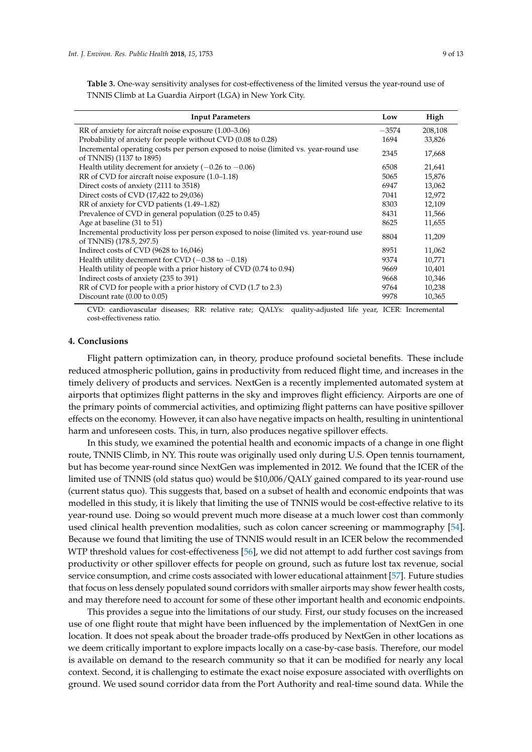<span id="page-8-0"></span>**Table 3.** One-way sensitivity analyses for cost-effectiveness of the limited versus the year-round use of TNNIS Climb at La Guardia Airport (LGA) in New York City.

| <b>Input Parameters</b>                                                                                           | Low     | High    |
|-------------------------------------------------------------------------------------------------------------------|---------|---------|
| RR of anxiety for aircraft noise exposure (1.00–3.06)                                                             | $-3574$ | 208,108 |
| Probability of anxiety for people without CVD (0.08 to 0.28)                                                      | 1694    | 33,826  |
| Incremental operating costs per person exposed to noise (limited vs. year-round use<br>of TNNIS) (1137 to 1895)   | 2345    | 17,668  |
| Health utility decrement for anxiety $(-0.26 \text{ to } -0.06)$                                                  | 6508    | 21,641  |
| RR of CVD for aircraft noise exposure (1.0–1.18)                                                                  | 5065    | 15,876  |
| Direct costs of anxiety (2111 to 3518)                                                                            | 6947    | 13,062  |
| Direct costs of CVD (17,422 to 29,036)                                                                            | 7041    | 12,972  |
| RR of anxiety for CVD patients (1.49–1.82)                                                                        | 8303    | 12,109  |
| Prevalence of CVD in general population (0.25 to 0.45)                                                            | 8431    | 11,566  |
| Age at baseline (31 to 51)                                                                                        | 8625    | 11,655  |
| Incremental productivity loss per person exposed to noise (limited vs. year-round use<br>of TNNIS) (178.5, 297.5) | 8804    | 11,209  |
| Indirect costs of CVD (9628 to 16,046)                                                                            | 8951    | 11,062  |
| Health utility decrement for CVD $(-0.38 \text{ to } -0.18)$                                                      | 9374    | 10,771  |
| Health utility of people with a prior history of CVD (0.74 to 0.94)                                               | 9669    | 10,401  |
| Indirect costs of anxiety (235 to 391)                                                                            | 9668    | 10,346  |
| RR of CVD for people with a prior history of CVD (1.7 to 2.3)                                                     | 9764    | 10,238  |
| Discount rate $(0.00 \text{ to } 0.05)$                                                                           | 9978    | 10,365  |

CVD: cardiovascular diseases; RR: relative rate; QALYs: quality-adjusted life year, ICER: Incremental cost-effectiveness ratio.

#### **4. Conclusions**

Flight pattern optimization can, in theory, produce profound societal benefits. These include reduced atmospheric pollution, gains in productivity from reduced flight time, and increases in the timely delivery of products and services. NextGen is a recently implemented automated system at airports that optimizes flight patterns in the sky and improves flight efficiency. Airports are one of the primary points of commercial activities, and optimizing flight patterns can have positive spillover effects on the economy. However, it can also have negative impacts on health, resulting in unintentional harm and unforeseen costs. This, in turn, also produces negative spillover effects.

In this study, we examined the potential health and economic impacts of a change in one flight route, TNNIS Climb, in NY. This route was originally used only during U.S. Open tennis tournament, but has become year-round since NextGen was implemented in 2012. We found that the ICER of the limited use of TNNIS (old status quo) would be \$10,006/QALY gained compared to its year-round use (current status quo). This suggests that, based on a subset of health and economic endpoints that was modelled in this study, it is likely that limiting the use of TNNIS would be cost-effective relative to its year-round use. Doing so would prevent much more disease at a much lower cost than commonly used clinical health prevention modalities, such as colon cancer screening or mammography [\[54\]](#page-12-12). Because we found that limiting the use of TNNIS would result in an ICER below the recommended WTP threshold values for cost-effectiveness [\[56\]](#page-12-14), we did not attempt to add further cost savings from productivity or other spillover effects for people on ground, such as future lost tax revenue, social service consumption, and crime costs associated with lower educational attainment [\[57\]](#page-12-15). Future studies that focus on less densely populated sound corridors with smaller airports may show fewer health costs, and may therefore need to account for some of these other important health and economic endpoints.

This provides a segue into the limitations of our study. First, our study focuses on the increased use of one flight route that might have been influenced by the implementation of NextGen in one location. It does not speak about the broader trade-offs produced by NextGen in other locations as we deem critically important to explore impacts locally on a case-by-case basis. Therefore, our model is available on demand to the research community so that it can be modified for nearly any local context. Second, it is challenging to estimate the exact noise exposure associated with overflights on ground. We used sound corridor data from the Port Authority and real-time sound data. While the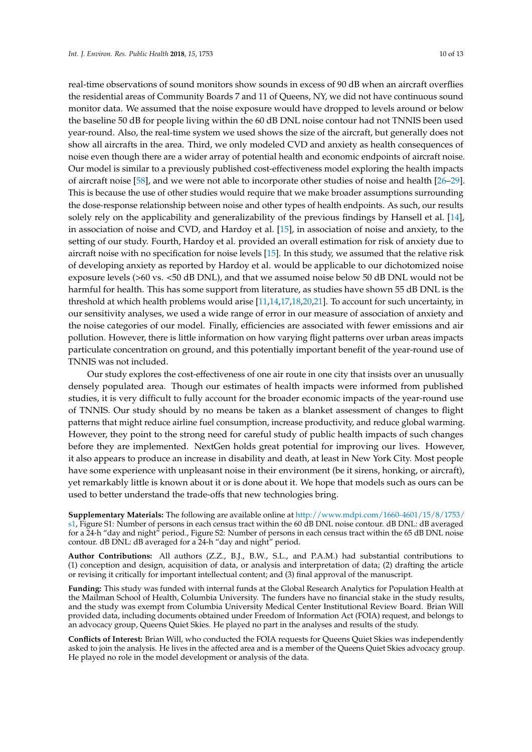real-time observations of sound monitors show sounds in excess of 90 dB when an aircraft overflies the residential areas of Community Boards 7 and 11 of Queens, NY, we did not have continuous sound monitor data. We assumed that the noise exposure would have dropped to levels around or below the baseline 50 dB for people living within the 60 dB DNL noise contour had not TNNIS been used year-round. Also, the real-time system we used shows the size of the aircraft, but generally does not show all aircrafts in the area. Third, we only modeled CVD and anxiety as health consequences of noise even though there are a wider array of potential health and economic endpoints of aircraft noise. Our model is similar to a previously published cost-effectiveness model exploring the health impacts of aircraft noise [\[58\]](#page-12-16), and we were not able to incorporate other studies of noise and health [\[26–](#page-11-17)[29\]](#page-11-4). This is because the use of other studies would require that we make broader assumptions surrounding the dose-response relationship between noise and other types of health endpoints. As such, our results solely rely on the applicability and generalizability of the previous findings by Hansell et al. [\[14\]](#page-10-16), in association of noise and CVD, and Hardoy et al. [\[15\]](#page-10-11), in association of noise and anxiety, to the setting of our study. Fourth, Hardoy et al. provided an overall estimation for risk of anxiety due to aircraft noise with no specification for noise levels [\[15\]](#page-10-11). In this study, we assumed that the relative risk of developing anxiety as reported by Hardoy et al. would be applicable to our dichotomized noise exposure levels (>60 vs. <50 dB DNL), and that we assumed noise below 50 dB DNL would not be harmful for health. This has some support from literature, as studies have shown 55 dB DNL is the threshold at which health problems would arise [\[11](#page-10-10)[,14,](#page-10-16)[17,](#page-10-13)[18,](#page-10-14)[20](#page-10-17)[,21\]](#page-10-18). To account for such uncertainty, in our sensitivity analyses, we used a wide range of error in our measure of association of anxiety and the noise categories of our model. Finally, efficiencies are associated with fewer emissions and air pollution. However, there is little information on how varying flight patterns over urban areas impacts particulate concentration on ground, and this potentially important benefit of the year-round use of TNNIS was not included.

Our study explores the cost-effectiveness of one air route in one city that insists over an unusually densely populated area. Though our estimates of health impacts were informed from published studies, it is very difficult to fully account for the broader economic impacts of the year-round use of TNNIS. Our study should by no means be taken as a blanket assessment of changes to flight patterns that might reduce airline fuel consumption, increase productivity, and reduce global warming. However, they point to the strong need for careful study of public health impacts of such changes before they are implemented. NextGen holds great potential for improving our lives. However, it also appears to produce an increase in disability and death, at least in New York City. Most people have some experience with unpleasant noise in their environment (be it sirens, honking, or aircraft), yet remarkably little is known about it or is done about it. We hope that models such as ours can be used to better understand the trade-offs that new technologies bring.

**Supplementary Materials:** The following are available online at [http://www.mdpi.com/1660-4601/15/8/1753/](http://www.mdpi.com/1660-4601/15/8/1753/s1) [s1,](http://www.mdpi.com/1660-4601/15/8/1753/s1) Figure S1: Number of persons in each census tract within the 60 dB DNL noise contour. dB DNL: dB averaged for a 24-h "day and night" period., Figure S2: Number of persons in each census tract within the 65 dB DNL noise contour. dB DNL: dB averaged for a 24-h "day and night" period.

**Author Contributions:** All authors (Z.Z., B.J., B.W., S.L., and P.A.M.) had substantial contributions to (1) conception and design, acquisition of data, or analysis and interpretation of data; (2) drafting the article or revising it critically for important intellectual content; and (3) final approval of the manuscript.

**Funding:** This study was funded with internal funds at the Global Research Analytics for Population Health at the Mailman School of Health, Columbia University. The funders have no financial stake in the study results, and the study was exempt from Columbia University Medical Center Institutional Review Board. Brian Will provided data, including documents obtained under Freedom of Information Act (FOIA) request, and belongs to an advocacy group, Queens Quiet Skies. He played no part in the analyses and results of the study.

**Conflicts of Interest:** Brian Will, who conducted the FOIA requests for Queens Quiet Skies was independently asked to join the analysis. He lives in the affected area and is a member of the Queens Quiet Skies advocacy group. He played no role in the model development or analysis of the data.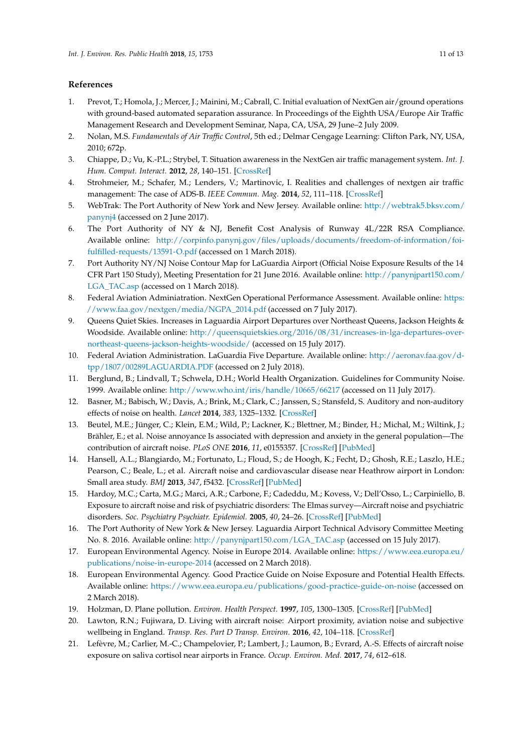# **References**

- <span id="page-10-0"></span>1. Prevot, T.; Homola, J.; Mercer, J.; Mainini, M.; Cabrall, C. Initial evaluation of NextGen air/ground operations with ground-based automated separation assurance. In Proceedings of the Eighth USA/Europe Air Traffic Management Research and Development Seminar, Napa, CA, USA, 29 June–2 July 2009.
- <span id="page-10-1"></span>2. Nolan, M.S. *Fundamentals of Air Traffic Control*, 5th ed.; Delmar Cengage Learning: Clifton Park, NY, USA, 2010; 672p.
- <span id="page-10-2"></span>3. Chiappe, D.; Vu, K.-P.L.; Strybel, T. Situation awareness in the NextGen air traffic management system. *Int. J. Hum. Comput. Interact.* **2012**, *28*, 140–151. [\[CrossRef\]](http://dx.doi.org/10.1080/10447318.2012.634768)
- <span id="page-10-3"></span>4. Strohmeier, M.; Schafer, M.; Lenders, V.; Martinovic, I. Realities and challenges of nextgen air traffic management: The case of ADS-B. *IEEE Commun. Mag.* **2014**, *52*, 111–118. [\[CrossRef\]](http://dx.doi.org/10.1109/MCOM.2014.6815901)
- <span id="page-10-4"></span>5. WebTrak: The Port Authority of New York and New Jersey. Available online: [http://webtrak5.bksv.com/](http://webtrak5.bksv.com/panynj4) [panynj4](http://webtrak5.bksv.com/panynj4) (accessed on 2 June 2017).
- <span id="page-10-6"></span>6. The Port Authority of NY & NJ, Benefit Cost Analysis of Runway 4L/22R RSA Compliance. Available online: [http://corpinfo.panynj.gov/files/uploads/documents/freedom-of-information/foi](http://corpinfo.panynj.gov/files/uploads/documents/freedom-of-information/foi-fulfilled-requests/13591-O.pdf)[fulfilled-requests/13591-O.pdf](http://corpinfo.panynj.gov/files/uploads/documents/freedom-of-information/foi-fulfilled-requests/13591-O.pdf) (accessed on 1 March 2018).
- <span id="page-10-5"></span>7. Port Authority NY/NJ Noise Contour Map for LaGuardia Airport (Official Noise Exposure Results of the 14 CFR Part 150 Study), Meeting Presentation for 21 June 2016. Available online: [http://panynjpart150.com/](http://panynjpart150.com/LGA_TAC.asp) [LGA\\_TAC.asp](http://panynjpart150.com/LGA_TAC.asp) (accessed on 1 March 2018).
- <span id="page-10-7"></span>8. Federal Aviation Adminiatration. NextGen Operational Performance Assessment. Available online: [https:](https://www.faa.gov/nextgen/media/NGPA_2014.pdf) [//www.faa.gov/nextgen/media/NGPA\\_2014.pdf](https://www.faa.gov/nextgen/media/NGPA_2014.pdf) (accessed on 7 July 2017).
- <span id="page-10-8"></span>9. Queens Quiet Skies. Increases in Laguardia Airport Departures over Northeast Queens, Jackson Heights & Woodside. Available online: [http://queensquietskies.org/2016/08/31/increases-in-lga-departures-over](http://queensquietskies.org/2016/08/31/increases-in-lga-departures-over-northeast-queens-jackson-heights-woodside/)[northeast-queens-jackson-heights-woodside/](http://queensquietskies.org/2016/08/31/increases-in-lga-departures-over-northeast-queens-jackson-heights-woodside/) (accessed on 15 July 2017).
- <span id="page-10-9"></span>10. Federal Aviation Administration. LaGuardia Five Departure. Available online: [http://aeronav.faa.gov/d](http://aeronav.faa.gov/d-tpp/1807/00289LAGUARDIA.PDF)[tpp/1807/00289LAGUARDIA.PDF](http://aeronav.faa.gov/d-tpp/1807/00289LAGUARDIA.PDF) (accessed on 2 July 2018).
- <span id="page-10-10"></span>11. Berglund, B.; Lindvall, T.; Schwela, D.H.; World Health Organization. Guidelines for Community Noise. 1999. Available online: <http://www.who.int/iris/handle/10665/66217> (accessed on 11 July 2017).
- 12. Basner, M.; Babisch, W.; Davis, A.; Brink, M.; Clark, C.; Janssen, S.; Stansfeld, S. Auditory and non-auditory effects of noise on health. *Lancet* **2014**, *383*, 1325–1332. [\[CrossRef\]](http://dx.doi.org/10.1016/S0140-6736(13)61613-X)
- 13. Beutel, M.E.; Jünger, C.; Klein, E.M.; Wild, P.; Lackner, K.; Blettner, M.; Binder, H.; Michal, M.; Wiltink, J.; Brähler, E.; et al. Noise annoyance Is associated with depression and anxiety in the general population—The contribution of aircraft noise. *PLoS ONE* **2016**, *11*, e0155357. [\[CrossRef\]](http://dx.doi.org/10.1371/journal.pone.0155357) [\[PubMed\]](http://www.ncbi.nlm.nih.gov/pubmed/27195894)
- <span id="page-10-16"></span>14. Hansell, A.L.; Blangiardo, M.; Fortunato, L.; Floud, S.; de Hoogh, K.; Fecht, D.; Ghosh, R.E.; Laszlo, H.E.; Pearson, C.; Beale, L.; et al. Aircraft noise and cardiovascular disease near Heathrow airport in London: Small area study. *BMJ* **2013**, *347*, f5432. [\[CrossRef\]](http://dx.doi.org/10.1136/bmj.f5432) [\[PubMed\]](http://www.ncbi.nlm.nih.gov/pubmed/24103537)
- <span id="page-10-11"></span>15. Hardoy, M.C.; Carta, M.G.; Marci, A.R.; Carbone, F.; Cadeddu, M.; Kovess, V.; Dell'Osso, L.; Carpiniello, B. Exposure to aircraft noise and risk of psychiatric disorders: The Elmas survey—Aircraft noise and psychiatric disorders. *Soc. Psychiatry Psychiatr. Epidemiol.* **2005**, *40*, 24–26. [\[CrossRef\]](http://dx.doi.org/10.1007/s00127-005-0837-x) [\[PubMed\]](http://www.ncbi.nlm.nih.gov/pubmed/15624071)
- <span id="page-10-12"></span>16. The Port Authority of New York & New Jersey. Laguardia Airport Technical Advisory Committee Meeting No. 8. 2016. Available online: [http://panynjpart150.com/LGA\\_TAC.asp](http://panynjpart150.com/LGA_TAC.asp) (accessed on 15 July 2017).
- <span id="page-10-13"></span>17. European Environmental Agency. Noise in Europe 2014. Available online: [https://www.eea.europa.eu/](https://www.eea.europa.eu/publications/noise-in-europe-2014) [publications/noise-in-europe-2014](https://www.eea.europa.eu/publications/noise-in-europe-2014) (accessed on 2 March 2018).
- <span id="page-10-14"></span>18. European Environmental Agency. Good Practice Guide on Noise Exposure and Potential Health Effects. Available online: <https://www.eea.europa.eu/publications/good-practice-guide-on-noise> (accessed on 2 March 2018).
- <span id="page-10-15"></span>19. Holzman, D. Plane pollution. *Environ. Health Perspect.* **1997**, *105*, 1300–1305. [\[CrossRef\]](http://dx.doi.org/10.1289/ehp.971051300) [\[PubMed\]](http://www.ncbi.nlm.nih.gov/pubmed/9405325)
- <span id="page-10-17"></span>20. Lawton, R.N.; Fujiwara, D. Living with aircraft noise: Airport proximity, aviation noise and subjective wellbeing in England. *Transp. Res. Part D Transp. Environ.* **2016**, *42*, 104–118. [\[CrossRef\]](http://dx.doi.org/10.1016/j.trd.2015.11.002)
- <span id="page-10-18"></span>21. Lefèvre, M.; Carlier, M.-C.; Champelovier, P.; Lambert, J.; Laumon, B.; Evrard, A.-S. Effects of aircraft noise exposure on saliva cortisol near airports in France. *Occup. Environ. Med.* **2017**, *74*, 612–618.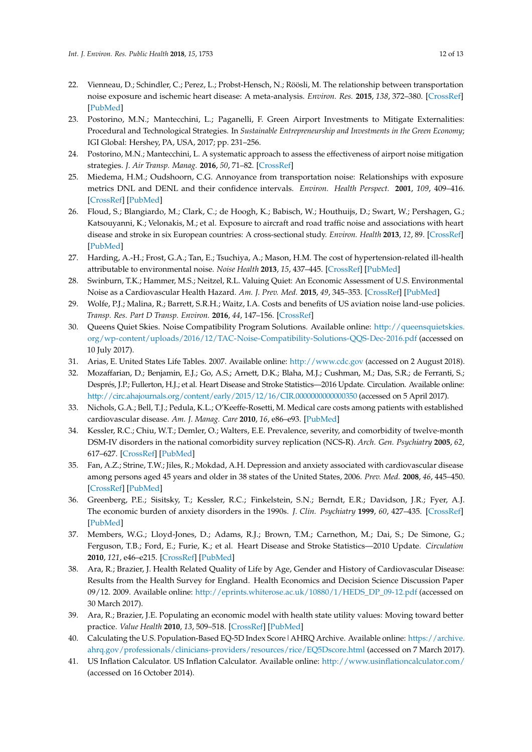- <span id="page-11-0"></span>22. Vienneau, D.; Schindler, C.; Perez, L.; Probst-Hensch, N.; Röösli, M. The relationship between transportation noise exposure and ischemic heart disease: A meta-analysis. *Environ. Res.* **2015**, *138*, 372–380. [\[CrossRef\]](http://dx.doi.org/10.1016/j.envres.2015.02.023) [\[PubMed\]](http://www.ncbi.nlm.nih.gov/pubmed/25769126)
- <span id="page-11-1"></span>23. Postorino, M.N.; Mantecchini, L.; Paganelli, F. Green Airport Investments to Mitigate Externalities: Procedural and Technological Strategies. In *Sustainable Entrepreneurship and Investments in the Green Economy*; IGI Global: Hershey, PA, USA, 2017; pp. 231–256.
- <span id="page-11-2"></span>24. Postorino, M.N.; Mantecchini, L. A systematic approach to assess the effectiveness of airport noise mitigation strategies. *J. Air Transp. Manag.* **2016**, *50*, 71–82. [\[CrossRef\]](http://dx.doi.org/10.1016/j.jairtraman.2015.10.004)
- <span id="page-11-3"></span>25. Miedema, H.M.; Oudshoorn, C.G. Annoyance from transportation noise: Relationships with exposure metrics DNL and DENL and their confidence intervals. *Environ. Health Perspect.* **2001**, *109*, 409–416. [\[CrossRef\]](http://dx.doi.org/10.1289/ehp.01109409) [\[PubMed\]](http://www.ncbi.nlm.nih.gov/pubmed/11335190)
- <span id="page-11-17"></span>26. Floud, S.; Blangiardo, M.; Clark, C.; de Hoogh, K.; Babisch, W.; Houthuijs, D.; Swart, W.; Pershagen, G.; Katsouyanni, K.; Velonakis, M.; et al. Exposure to aircraft and road traffic noise and associations with heart disease and stroke in six European countries: A cross-sectional study. *Environ. Health* **2013**, *12*, 89. [\[CrossRef\]](http://dx.doi.org/10.1186/1476-069X-12-89) [\[PubMed\]](http://www.ncbi.nlm.nih.gov/pubmed/24131577)
- 27. Harding, A.-H.; Frost, G.A.; Tan, E.; Tsuchiya, A.; Mason, H.M. The cost of hypertension-related ill-health attributable to environmental noise. *Noise Health* **2013**, *15*, 437–445. [\[CrossRef\]](http://dx.doi.org/10.4103/1463-1741.121253) [\[PubMed\]](http://www.ncbi.nlm.nih.gov/pubmed/24231422)
- 28. Swinburn, T.K.; Hammer, M.S.; Neitzel, R.L. Valuing Quiet: An Economic Assessment of U.S. Environmental Noise as a Cardiovascular Health Hazard. *Am. J. Prev. Med.* **2015**, *49*, 345–353. [\[CrossRef\]](http://dx.doi.org/10.1016/j.amepre.2015.02.016) [\[PubMed\]](http://www.ncbi.nlm.nih.gov/pubmed/26024562)
- <span id="page-11-4"></span>29. Wolfe, P.J.; Malina, R.; Barrett, S.R.H.; Waitz, I.A. Costs and benefits of US aviation noise land-use policies. *Transp. Res. Part D Transp. Environ.* **2016**, *44*, 147–156. [\[CrossRef\]](http://dx.doi.org/10.1016/j.trd.2016.02.010)
- <span id="page-11-5"></span>30. Queens Quiet Skies. Noise Compatibility Program Solutions. Available online: [http://queensquietskies.](http://queensquietskies.org/wp-content/uploads/2016/12/TAC-Noise-Compatibility-Solutions-QQS-Dec-2016.pdf) [org/wp-content/uploads/2016/12/TAC-Noise-Compatibility-Solutions-QQS-Dec-2016.pdf](http://queensquietskies.org/wp-content/uploads/2016/12/TAC-Noise-Compatibility-Solutions-QQS-Dec-2016.pdf) (accessed on 10 July 2017).
- <span id="page-11-6"></span>31. Arias, E. United States Life Tables. 2007. Available online: <http://www.cdc.gov> (accessed on 2 August 2018).
- <span id="page-11-7"></span>32. Mozaffarian, D.; Benjamin, E.J.; Go, A.S.; Arnett, D.K.; Blaha, M.J.; Cushman, M.; Das, S.R.; de Ferranti, S.; Després, J.P.; Fullerton, H.J.; et al. Heart Disease and Stroke Statistics—2016 Update. Circulation. Available online: <http://circ.ahajournals.org/content/early/2015/12/16/CIR.0000000000000350> (accessed on 5 April 2017).
- <span id="page-11-8"></span>33. Nichols, G.A.; Bell, T.J.; Pedula, K.L.; O'Keeffe-Rosetti, M. Medical care costs among patients with established cardiovascular disease. *Am. J. Manag. Care* **2010**, *16*, e86–e93. [\[PubMed\]](http://www.ncbi.nlm.nih.gov/pubmed/20205493)
- <span id="page-11-9"></span>34. Kessler, R.C.; Chiu, W.T.; Demler, O.; Walters, E.E. Prevalence, severity, and comorbidity of twelve-month DSM-IV disorders in the national comorbidity survey replication (NCS-R). *Arch. Gen. Psychiatry* **2005**, *62*, 617–627. [\[CrossRef\]](http://dx.doi.org/10.1001/archpsyc.62.6.617) [\[PubMed\]](http://www.ncbi.nlm.nih.gov/pubmed/15939839)
- <span id="page-11-10"></span>35. Fan, A.Z.; Strine, T.W.; Jiles, R.; Mokdad, A.H. Depression and anxiety associated with cardiovascular disease among persons aged 45 years and older in 38 states of the United States, 2006. *Prev. Med.* **2008**, *46*, 445–450. [\[CrossRef\]](http://dx.doi.org/10.1016/j.ypmed.2008.02.016) [\[PubMed\]](http://www.ncbi.nlm.nih.gov/pubmed/18377971)
- <span id="page-11-11"></span>36. Greenberg, P.E.; Sisitsky, T.; Kessler, R.C.; Finkelstein, S.N.; Berndt, E.R.; Davidson, J.R.; Fyer, A.J. The economic burden of anxiety disorders in the 1990s. *J. Clin. Psychiatry* **1999**, *60*, 427–435. [\[CrossRef\]](http://dx.doi.org/10.4088/JCP.v60n0702) [\[PubMed\]](http://www.ncbi.nlm.nih.gov/pubmed/10453795)
- <span id="page-11-12"></span>37. Members, W.G.; Lloyd-Jones, D.; Adams, R.J.; Brown, T.M.; Carnethon, M.; Dai, S.; De Simone, G.; Ferguson, T.B.; Ford, E.; Furie, K.; et al. Heart Disease and Stroke Statistics—2010 Update. *Circulation* **2010**, *121*, e46–e215. [\[CrossRef\]](http://dx.doi.org/10.1161/CIRCULATIONAHA.109.192667) [\[PubMed\]](http://www.ncbi.nlm.nih.gov/pubmed/20019324)
- <span id="page-11-13"></span>38. Ara, R.; Brazier, J. Health Related Quality of Life by Age, Gender and History of Cardiovascular Disease: Results from the Health Survey for England. Health Economics and Decision Science Discussion Paper 09/12. 2009. Available online: [http://eprints.whiterose.ac.uk/10880/1/HEDS\\_DP\\_09-12.pdf](http://eprints.whiterose.ac.uk/10880/1/HEDS_DP_09-12.pdf) (accessed on 30 March 2017).
- <span id="page-11-14"></span>39. Ara, R.; Brazier, J.E. Populating an economic model with health state utility values: Moving toward better practice. *Value Health* **2010**, *13*, 509–518. [\[CrossRef\]](http://dx.doi.org/10.1111/j.1524-4733.2010.00700.x) [\[PubMed\]](http://www.ncbi.nlm.nih.gov/pubmed/20230546)
- <span id="page-11-15"></span>40. Calculating the U.S. Population-Based EQ-5D Index Score|AHRQ Archive. Available online: [https://archive.](https://archive.ahrq.gov/professionals/clinicians-providers/resources/rice/EQ5Dscore.html) [ahrq.gov/professionals/clinicians-providers/resources/rice/EQ5Dscore.html](https://archive.ahrq.gov/professionals/clinicians-providers/resources/rice/EQ5Dscore.html) (accessed on 7 March 2017).
- <span id="page-11-16"></span>41. US Inflation Calculator. US Inflation Calculator. Available online: <http://www.usinflationcalculator.com/> (accessed on 16 October 2014).